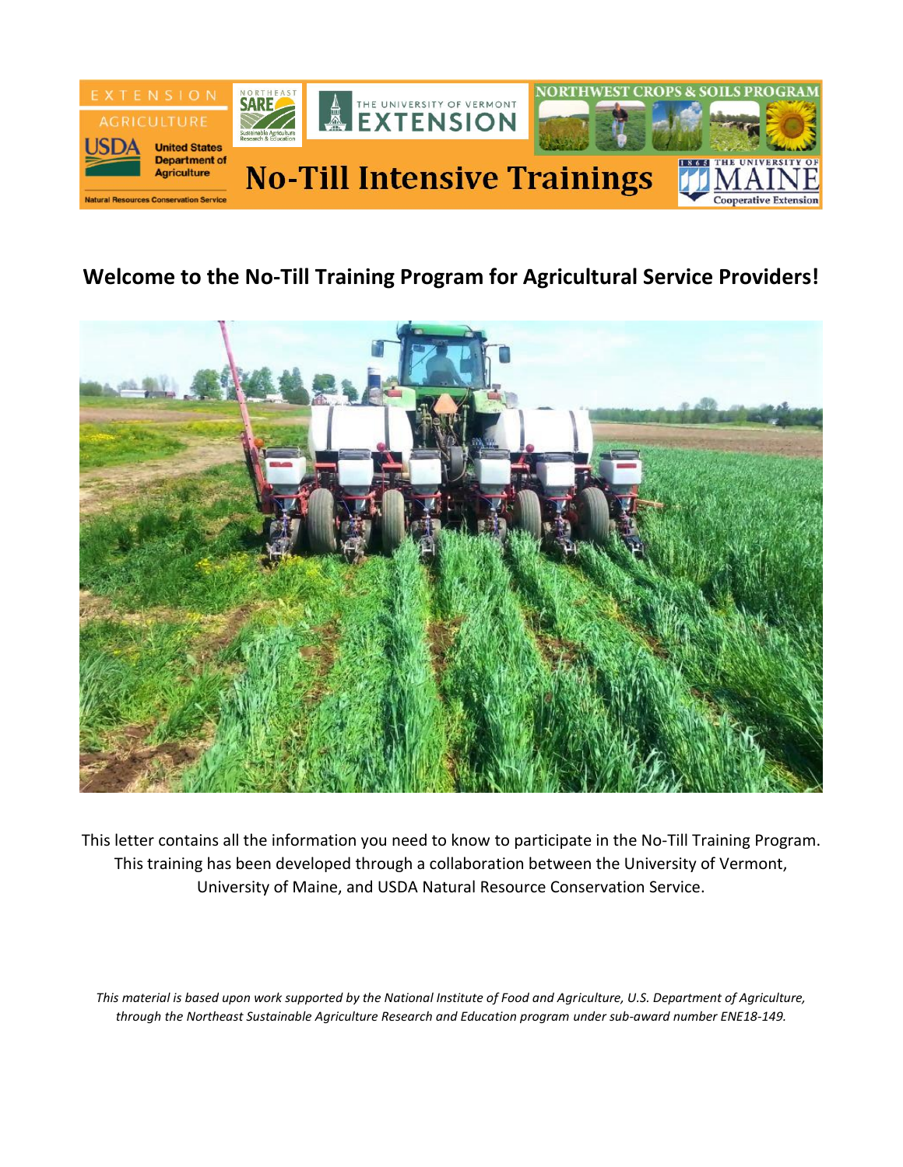

# **Welcome to the No-Till Training Program for Agricultural Service Providers!**



This letter contains all the information you need to know to participate in the No-Till Training Program. This training has been developed through a collaboration between the University of Vermont, University of Maine, and USDA Natural Resource Conservation Service.

*This material is based upon work supported by the National Institute of Food and Agriculture, U.S. Department of Agriculture, through the [Northeast Sustainable Agriculture Research and Education program](https://www.nesare.org/) under sub-award number ENE18-149.*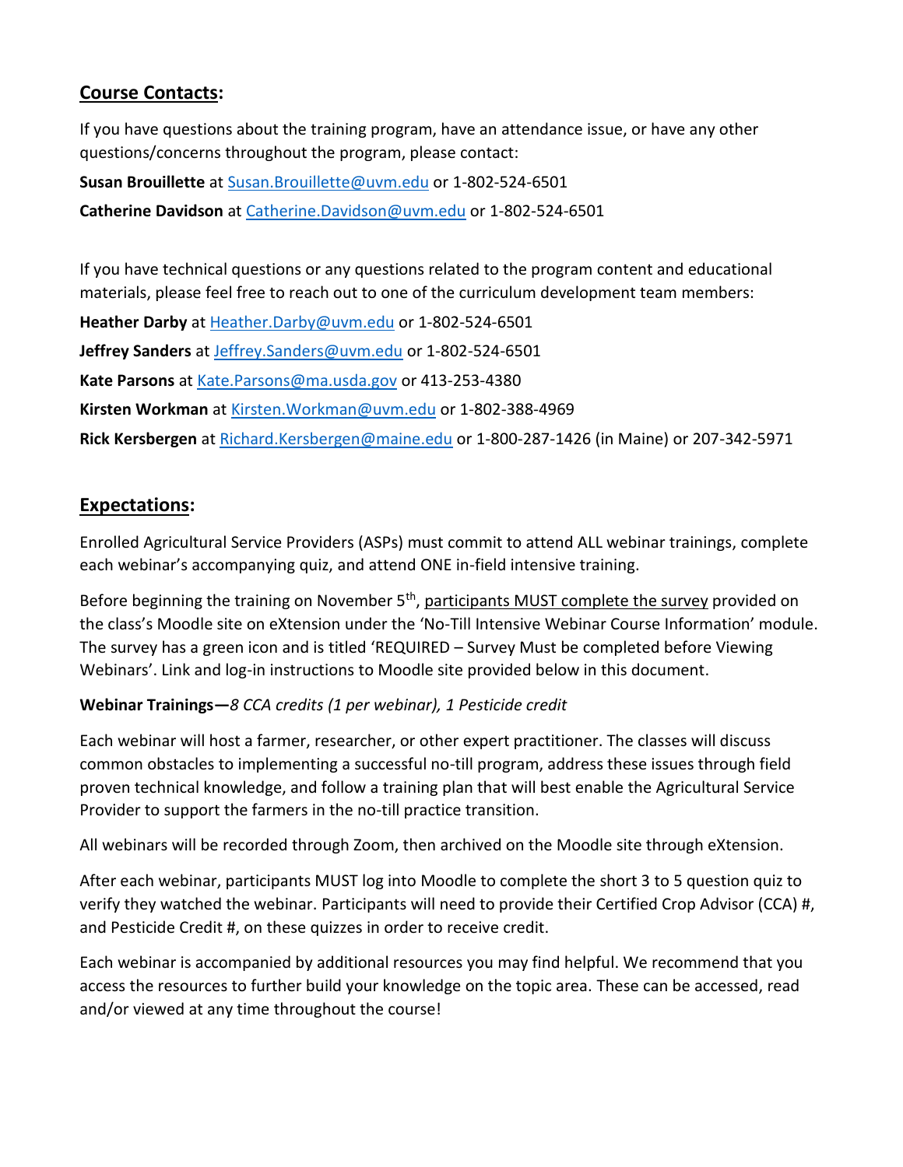# **Course Contacts:**

If you have questions about the training program, have an attendance issue, or have any other questions/concerns throughout the program, please contact:

**Susan Brouillette** at [Susan.Brouillette@uvm.edu](mailto:Susan.Brouillette@uvm.edu) or 1-802-524-6501 **Catherine Davidson** a[t Catherine.Davidson@uvm.edu](mailto:Catherine.Davidson@uvm.edu) or 1-802-524-6501

If you have technical questions or any questions related to the program content and educational materials, please feel free to reach out to one of the curriculum development team members:

**Heather Darby** at [Heather.Darby@uvm.edu](mailto:Heather.Darby@uvm.edu) or 1-802-524-6501

**Jeffrey Sanders** at [Jeffrey.Sanders@uvm.edu](mailto:Jeffrey.Sanders@uvm.edu) or 1-802-524-6501

**Kate Parsons** at [Kate.Parsons@ma.usda.gov](mailto:Kate.Parsons@ma.usda.gov) or 413-253-4380

**Kirsten Workman** at [Kirsten.Workman@uvm.edu](mailto:Kirsten.Workman@uvm.edu) or 1-802-388-4969

**Rick Kersbergen** at [Richard.Kersbergen@maine.edu](mailto:Richard.Kersbergen@maine.edu) or 1-800-287-1426 (in Maine) or 207-342-5971

# **Expectations:**

Enrolled Agricultural Service Providers (ASPs) must commit to attend ALL webinar trainings, complete each webinar's accompanying quiz, and attend ONE in-field intensive training.

Before beginning the training on November 5<sup>th</sup>, participants MUST complete the survey provided on the class's Moodle site on eXtension under the 'No-Till Intensive Webinar Course Information' module. The survey has a green icon and is titled 'REQUIRED – Survey Must be completed before Viewing Webinars'. Link and log-in instructions to Moodle site provided below in this document.

#### **Webinar Trainings—***8 CCA credits (1 per webinar), 1 Pesticide credit*

Each webinar will host a farmer, researcher, or other expert practitioner. The classes will discuss common obstacles to implementing a successful no-till program, address these issues through field proven technical knowledge, and follow a training plan that will best enable the Agricultural Service Provider to support the farmers in the no-till practice transition.

All webinars will be recorded through Zoom, then archived on the Moodle site through eXtension.

After each webinar, participants MUST log into Moodle to complete the short 3 to 5 question quiz to verify they watched the webinar. Participants will need to provide their Certified Crop Advisor (CCA) #, and Pesticide Credit #, on these quizzes in order to receive credit.

Each webinar is accompanied by additional resources you may find helpful. We recommend that you access the resources to further build your knowledge on the topic area. These can be accessed, read and/or viewed at any time throughout the course!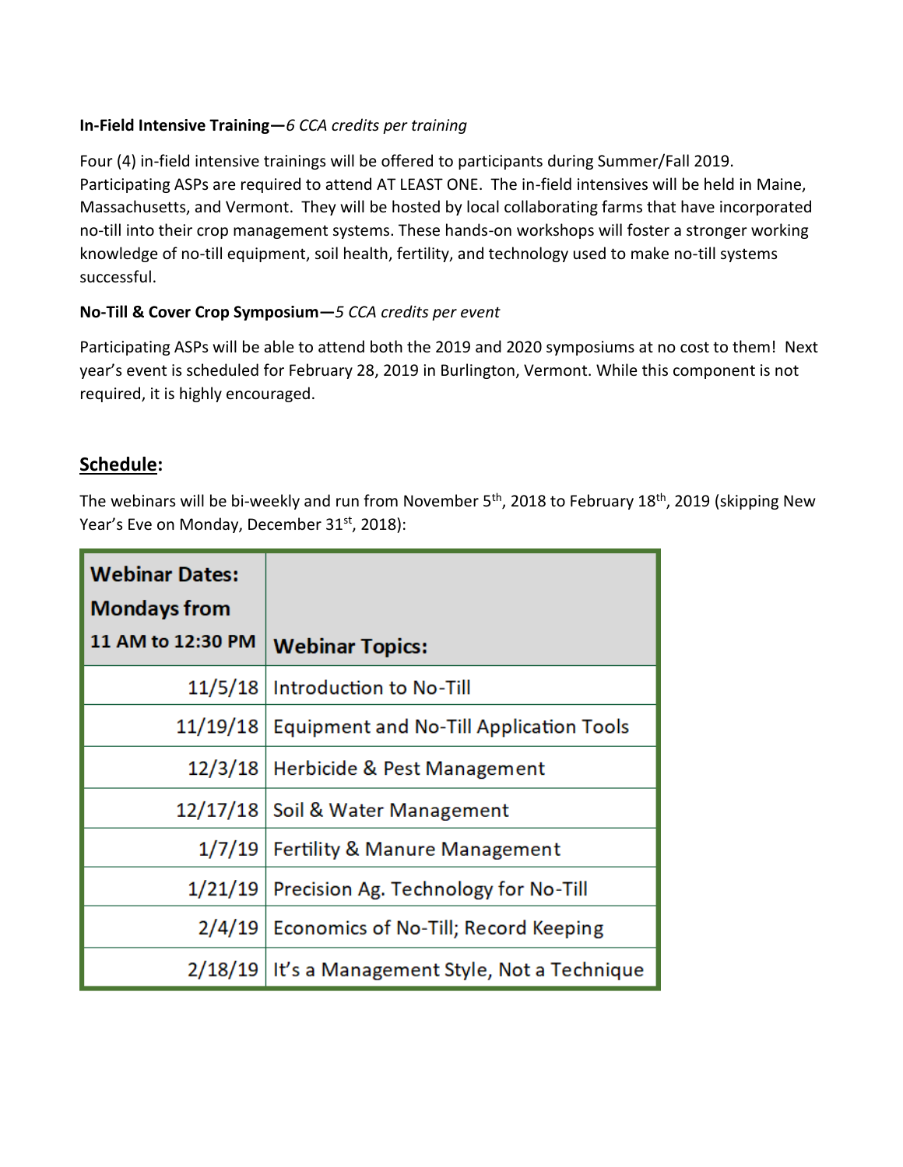#### **In-Field Intensive Training—***6 CCA credits per training*

Four (4) in-field intensive trainings will be offered to participants during Summer/Fall 2019. Participating ASPs are required to attend AT LEAST ONE. The in-field intensives will be held in Maine, Massachusetts, and Vermont. They will be hosted by local collaborating farms that have incorporated no-till into their crop management systems. These hands-on workshops will foster a stronger working knowledge of no-till equipment, soil health, fertility, and technology used to make no-till systems successful.

#### **No-Till & Cover Crop Symposium—***5 CCA credits per event*

Participating ASPs will be able to attend both the 2019 and 2020 symposiums at no cost to them! Next year's event is scheduled for February 28, 2019 in Burlington, Vermont. While this component is not required, it is highly encouraged.

# **Schedule:**

The webinars will be bi-weekly and run from November 5<sup>th</sup>, 2018 to February 18<sup>th</sup>, 2019 (skipping New Year's Eve on Monday, December 31<sup>st</sup>, 2018):

| <b>Webinar Dates:</b><br><b>Mondays from</b> |                                                    |
|----------------------------------------------|----------------------------------------------------|
| 11 AM to 12:30 PM                            | <b>Webinar Topics:</b>                             |
| 11/5/18                                      | Introduction to No-Till                            |
| 11/19/18                                     | <b>Equipment and No-Till Application Tools</b>     |
|                                              | 12/3/18   Herbicide & Pest Management              |
|                                              | 12/17/18 Soil & Water Management                   |
| 1/7/19                                       | <b>Fertility &amp; Manure Management</b>           |
| 1/21/19                                      | Precision Ag. Technology for No-Till               |
|                                              | 2/4/19 Economics of No-Till; Record Keeping        |
|                                              | 2/18/19   It's a Management Style, Not a Technique |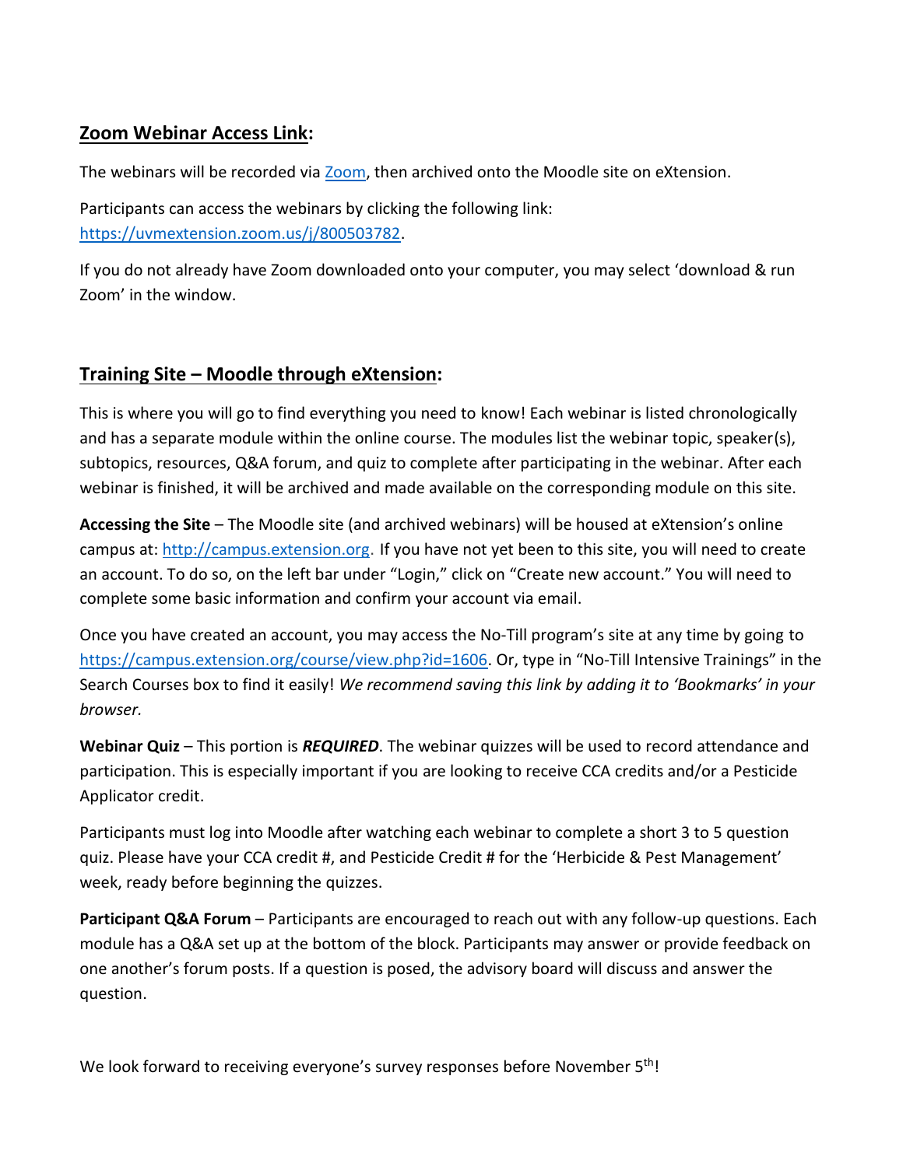# **Zoom Webinar Access Link:**

The webinars will be recorded via [Zoom,](https://zoom.us/) then archived onto the Moodle site on eXtension.

Participants can access the webinars by clicking the following link: [https://uvmextension.zoom.us/j/800503782.](https://uvmextension.zoom.us/j/800503782)

If you do not already have Zoom downloaded onto your computer, you may select 'download & run Zoom' in the window.

#### **Training Site – Moodle through eXtension:**

This is where you will go to find everything you need to know! Each webinar is listed chronologically and has a separate module within the online course. The modules list the webinar topic, speaker(s), subtopics, resources, Q&A forum, and quiz to complete after participating in the webinar. After each webinar is finished, it will be archived and made available on the corresponding module on this site.

**Accessing the Site** – The Moodle site (and archived webinars) will be housed at eXtension's online campus at: [http://campus.extension.org](http://campus.extension.org/). If you have not yet been to this site, you will need to create an account. To do so, on the left bar under "Login," click on "Create new account." You will need to complete some basic information and confirm your account via email.

Once you have created an account, you may access the No-Till program's site at any time by going to <https://campus.extension.org/course/view.php?id=1606>. Or, type in "No-Till Intensive Trainings" in the Search Courses box to find it easily! *We recommend saving this link by adding it to 'Bookmarks' in your browser.*

**Webinar Quiz** – This portion is *REQUIRED*. The webinar quizzes will be used to record attendance and participation. This is especially important if you are looking to receive CCA credits and/or a Pesticide Applicator credit.

Participants must log into Moodle after watching each webinar to complete a short 3 to 5 question quiz. Please have your CCA credit #, and Pesticide Credit # for the 'Herbicide & Pest Management' week, ready before beginning the quizzes.

**Participant Q&A Forum** – Participants are encouraged to reach out with any follow-up questions. Each module has a Q&A set up at the bottom of the block. Participants may answer or provide feedback on one another's forum posts. If a question is posed, the advisory board will discuss and answer the question.

We look forward to receiving everyone's survey responses before November 5<sup>th</sup>!